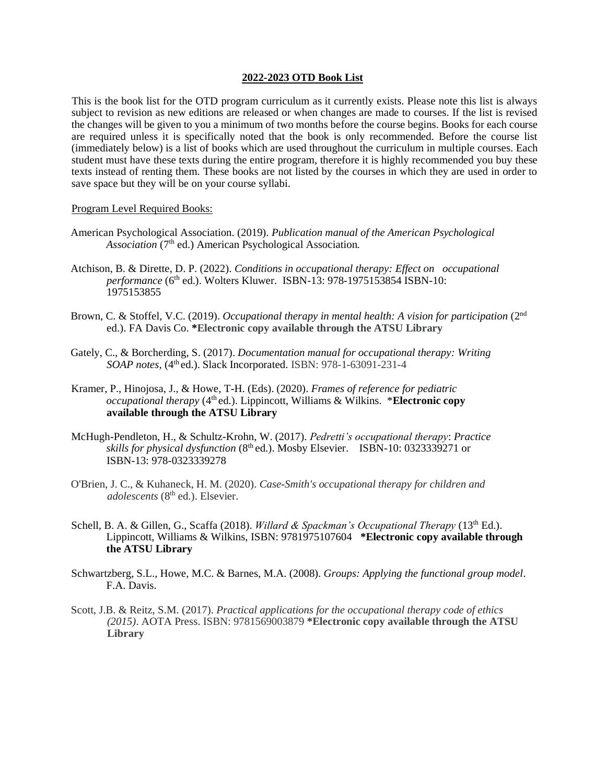## **2022-2023 OTD Book List**

This is the book list for the OTD program curriculum as it currently exists. Please note this list is always subject to revision as new editions are released or when changes are made to courses. If the list is revised the changes will be given to you a minimum of two months before the course begins. Books for each course are required unless it is specifically noted that the book is only recommended. Before the course list (immediately below) is a list of books which are used throughout the curriculum in multiple courses. Each student must have these texts during the entire program, therefore it is highly recommended you buy these texts instead of renting them. These books are not listed by the courses in which they are used in order to save space but they will be on your course syllabi.

## Program Level Required Books:

- American Psychological Association. (2019). *Publication manual of the American Psychological* Association (7<sup>th</sup> ed.) American Psychological Association.
- Atchison, B. & Dirette, D. P. (2022). *Conditions in occupational therapy: Effect on occupational performance* (6<sup>th</sup> ed.). Wolters Kluwer. ISBN-13: 978-1975153854 ISBN-10: 1975153855
- Brown, C. & Stoffel, V.C. (2019). *Occupational therapy in mental health: A vision for participation* (2<sup>nd</sup> ed.). FA Davis Co. **\*Electronic copy available through the ATSU Library**
- Gately, C., & Borcherding, S. (2017). *Documentation manual for occupational therapy: Writing SOAP notes,* (4<sup>th</sup> ed.). Slack Incorporated. ISBN: 978-1-63091-231-4
- Kramer, P., Hinojosa, J., & Howe, T-H. (Eds). (2020). *Frames of reference for pediatric occupational therapy* (4<sup>th</sup> ed.). Lippincott, Williams & Wilkins. \*Electronic copy **available through the ATSU Library**
- McHugh-Pendleton, H., & Schultz-Krohn, W. (2017). *Pedretti's occupational therapy*: *Practice skills for physical dysfunction* (8th ed.). Mosby Elsevier. ISBN-10: 0323339271 or ISBN-13: 978-0323339278
- O'Brien, J. C., & Kuhaneck, H. M. (2020). *Case-Smith's occupational therapy for children and adolescents* (8<sup>th</sup> ed.). Elsevier.
- Schell, B. A. & Gillen, G., Scaffa (2018). *Willard & Spackman's Occupational Therapy* (13<sup>th</sup> Ed.). Lippincott, Williams & Wilkins, ISBN: 9781975107604 **\*Electronic copy available through the ATSU Library**
- Schwartzberg, S.L., Howe, M.C. & Barnes, M.A. (2008). *Groups: Applying the functional group model*. F.A. Davis.
- Scott, J.B. & Reitz, S.M. (2017). *Practical applications for the occupational therapy code of ethics (2015)*. AOTA Press. ISBN: 9781569003879 **\*Electronic copy available through the ATSU Library**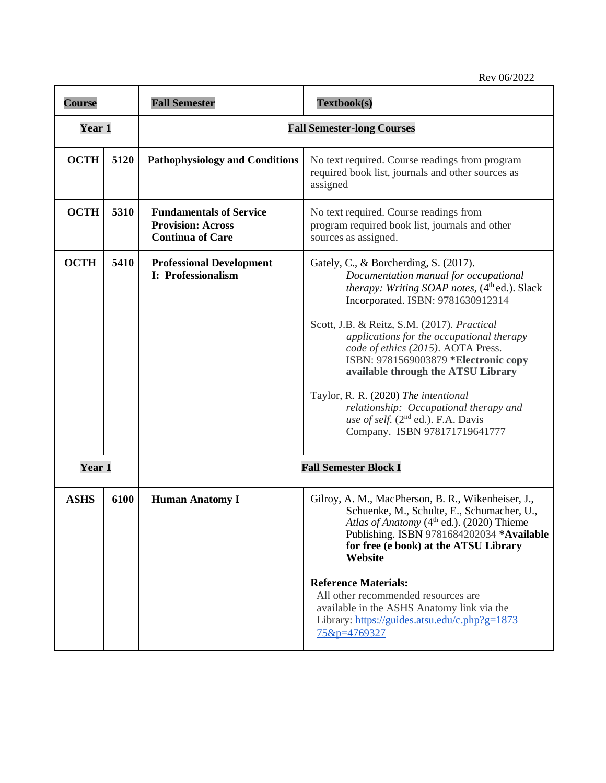| <b>Course</b> |      | <b>Fall Semester</b>                                                                  | Textbook(s)                                                                                                                                                                                                                                                                                                                                                                                                                                                                                                                                                                  |
|---------------|------|---------------------------------------------------------------------------------------|------------------------------------------------------------------------------------------------------------------------------------------------------------------------------------------------------------------------------------------------------------------------------------------------------------------------------------------------------------------------------------------------------------------------------------------------------------------------------------------------------------------------------------------------------------------------------|
| Year 1        |      | <b>Fall Semester-long Courses</b>                                                     |                                                                                                                                                                                                                                                                                                                                                                                                                                                                                                                                                                              |
| <b>OCTH</b>   | 5120 | <b>Pathophysiology and Conditions</b>                                                 | No text required. Course readings from program<br>required book list, journals and other sources as<br>assigned                                                                                                                                                                                                                                                                                                                                                                                                                                                              |
| <b>OCTH</b>   | 5310 | <b>Fundamentals of Service</b><br><b>Provision: Across</b><br><b>Continua of Care</b> | No text required. Course readings from<br>program required book list, journals and other<br>sources as assigned.                                                                                                                                                                                                                                                                                                                                                                                                                                                             |
| <b>OCTH</b>   | 5410 | <b>Professional Development</b><br>I: Professionalism                                 | Gately, C., & Borcherding, S. (2017).<br>Documentation manual for occupational<br><i>therapy: Writing SOAP notes,</i> (4 <sup>th</sup> ed.). Slack<br>Incorporated. ISBN: 9781630912314<br>Scott, J.B. & Reitz, S.M. (2017). Practical<br>applications for the occupational therapy<br>code of ethics (2015). AOTA Press.<br>ISBN: 9781569003879 *Electronic copy<br>available through the ATSU Library<br>Taylor, R. R. (2020) The intentional<br>relationship: Occupational therapy and<br>use of self. (2 <sup>nd</sup> ed.). F.A. Davis<br>Company. ISBN 978171719641777 |
| Year 1        |      | <b>Fall Semester Block I</b>                                                          |                                                                                                                                                                                                                                                                                                                                                                                                                                                                                                                                                                              |
| <b>ASHS</b>   | 6100 | <b>Human Anatomy I</b>                                                                | Gilroy, A. M., MacPherson, B. R., Wikenheiser, J.,<br>Schuenke, M., Schulte, E., Schumacher, U.,<br>Atlas of Anatomy (4 <sup>th</sup> ed.). (2020) Thieme<br>Publishing. ISBN 9781684202034 *Available<br>for free (e book) at the ATSU Library<br>Website<br><b>Reference Materials:</b><br>All other recommended resources are<br>available in the ASHS Anatomy link via the<br>Library: https://guides.atsu.edu/c.php?g=1873<br>75&p=4769327                                                                                                                              |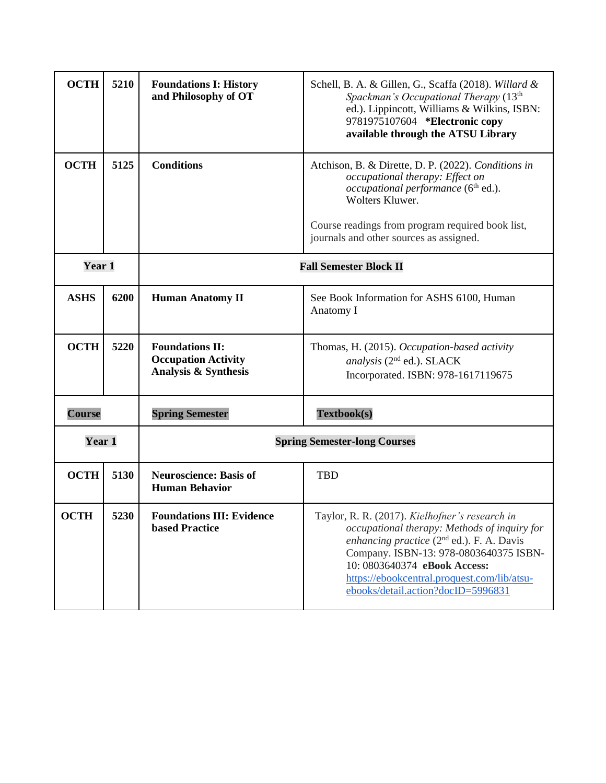| <b>OCTH</b>   | 5210 | <b>Foundations I: History</b><br>and Philosophy of OT                        | Schell, B. A. & Gillen, G., Scaffa (2018). Willard &<br>Spackman's Occupational Therapy (13 <sup>th</sup><br>ed.). Lippincott, Williams & Wilkins, ISBN:<br>9781975107604 *Electronic copy<br>available through the ATSU Library                                                                                |
|---------------|------|------------------------------------------------------------------------------|-----------------------------------------------------------------------------------------------------------------------------------------------------------------------------------------------------------------------------------------------------------------------------------------------------------------|
| <b>OCTH</b>   | 5125 | <b>Conditions</b>                                                            | Atchison, B. & Dirette, D. P. (2022). Conditions in<br>occupational therapy: Effect on<br>occupational performance (6 <sup>th</sup> ed.).<br>Wolters Kluwer.<br>Course readings from program required book list,<br>journals and other sources as assigned.                                                     |
| Year 1        |      |                                                                              | <b>Fall Semester Block II</b>                                                                                                                                                                                                                                                                                   |
|               |      |                                                                              |                                                                                                                                                                                                                                                                                                                 |
| <b>ASHS</b>   | 6200 | <b>Human Anatomy II</b>                                                      | See Book Information for ASHS 6100, Human<br>Anatomy I                                                                                                                                                                                                                                                          |
| <b>OCTH</b>   | 5220 | <b>Foundations II:</b><br><b>Occupation Activity</b><br>Analysis & Synthesis | Thomas, H. (2015). Occupation-based activity<br>analysis (2 <sup>nd</sup> ed.). SLACK<br>Incorporated. ISBN: 978-1617119675                                                                                                                                                                                     |
| <b>Course</b> |      | <b>Spring Semester</b>                                                       | Textbook(s)                                                                                                                                                                                                                                                                                                     |
| Year 1        |      | <b>Spring Semester-long Courses</b>                                          |                                                                                                                                                                                                                                                                                                                 |
| <b>OCTH</b>   | 5130 | <b>Neuroscience: Basis of</b><br><b>Human Behavior</b>                       | <b>TBD</b>                                                                                                                                                                                                                                                                                                      |
| <b>OCTH</b>   | 5230 | <b>Foundations III: Evidence</b><br><b>based Practice</b>                    | Taylor, R. R. (2017). Kielhofner's research in<br>occupational therapy: Methods of inquiry for<br>enhancing practice $(2^{nd}$ ed.). F. A. Davis<br>Company. ISBN-13: 978-0803640375 ISBN-<br>10: 0803640374 eBook Access:<br>https://ebookcentral.proquest.com/lib/atsu-<br>ebooks/detail.action?docID=5996831 |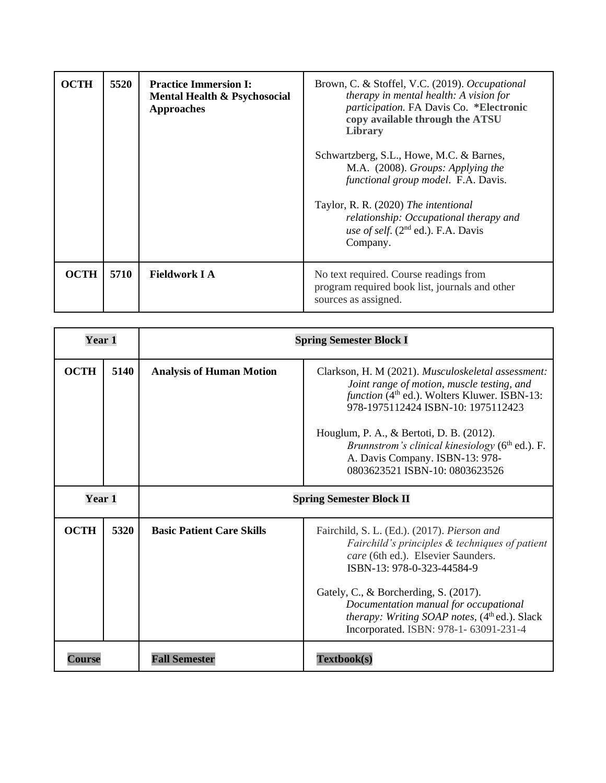| <b>OCTH</b> | 5520 | <b>Practice Immersion I:</b><br>Mental Health & Psychosocial<br><b>Approaches</b> | Brown, C. & Stoffel, V.C. (2019). Occupational<br>therapy in mental health: A vision for<br><i>participation.</i> FA Davis Co. *Electronic<br>copy available through the ATSU<br>Library<br>Schwartzberg, S.L., Howe, M.C. & Barnes,<br>M.A. (2008). Groups: Applying the<br>functional group model. F.A. Davis.<br>Taylor, R. R. (2020) The intentional<br>relationship: Occupational therapy and<br>use of self. $(2^{nd}$ ed.). F.A. Davis<br>Company. |
|-------------|------|-----------------------------------------------------------------------------------|-----------------------------------------------------------------------------------------------------------------------------------------------------------------------------------------------------------------------------------------------------------------------------------------------------------------------------------------------------------------------------------------------------------------------------------------------------------|
| OCTH        | 5710 | <b>Fieldwork I A</b>                                                              | No text required. Course readings from<br>program required book list, journals and other<br>sources as assigned.                                                                                                                                                                                                                                                                                                                                          |

| Year 1      |      | <b>Spring Semester Block I</b>   |                                                                                                                                                                                                                                                                                                                                                                                         |
|-------------|------|----------------------------------|-----------------------------------------------------------------------------------------------------------------------------------------------------------------------------------------------------------------------------------------------------------------------------------------------------------------------------------------------------------------------------------------|
| <b>OCTH</b> | 5140 | <b>Analysis of Human Motion</b>  | Clarkson, H. M (2021). Musculoskeletal assessment:<br>Joint range of motion, muscle testing, and<br><i>function</i> (4 <sup>th</sup> ed.). Wolters Kluwer. ISBN-13:<br>978-1975112424 ISBN-10: 1975112423<br>Houglum, P. A., & Bertoti, D. B. (2012).<br><i>Brunnstrom's clinical kinesiology</i> $(6th ed.)$ . F.<br>A. Davis Company. ISBN-13: 978-<br>0803623521 ISBN-10: 0803623526 |
| Year 1      |      | <b>Spring Semester Block II</b>  |                                                                                                                                                                                                                                                                                                                                                                                         |
| <b>OCTH</b> | 5320 | <b>Basic Patient Care Skills</b> | Fairchild, S. L. (Ed.). (2017). Pierson and<br>Fairchild's principles & techniques of patient<br>care (6th ed.). Elsevier Saunders.<br>ISBN-13: 978-0-323-44584-9<br>Gately, C., & Borcherding, S. (2017).<br>Documentation manual for occupational<br>therapy: Writing SOAP notes, (4th ed.). Slack<br>Incorporated. ISBN: 978-1-63091-231-4                                           |
| Course      |      | <b>Fall Semester</b>             | Textbook(s)                                                                                                                                                                                                                                                                                                                                                                             |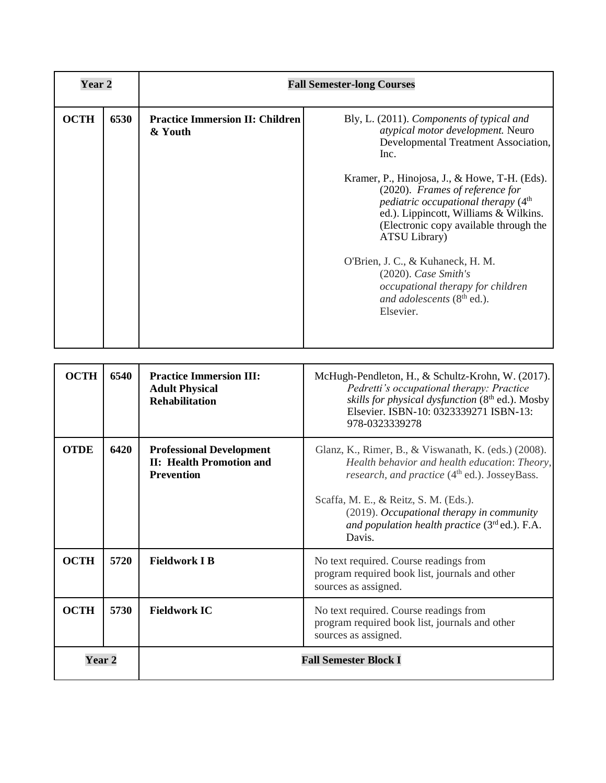| Year <sub>2</sub> |      | <b>Fall Semester-long Courses</b>                                                       |                                                                                                                                                                                                                                                                                                                                                                                                                                                                                                                                       |
|-------------------|------|-----------------------------------------------------------------------------------------|---------------------------------------------------------------------------------------------------------------------------------------------------------------------------------------------------------------------------------------------------------------------------------------------------------------------------------------------------------------------------------------------------------------------------------------------------------------------------------------------------------------------------------------|
| <b>OCTH</b>       | 6530 | <b>Practice Immersion II: Children</b><br>& Youth                                       | Bly, L. (2011). Components of typical and<br>atypical motor development. Neuro<br>Developmental Treatment Association,<br>Inc.<br>Kramer, P., Hinojosa, J., & Howe, T-H. (Eds).<br>(2020). Frames of reference for<br>pediatric occupational therapy (4 <sup>th</sup><br>ed.). Lippincott, Williams & Wilkins.<br>(Electronic copy available through the<br>ATSU Library)<br>O'Brien, J. C., & Kuhaneck, H. M.<br>$(2020)$ . Case Smith's<br>occupational therapy for children<br>and adolescents (8 <sup>th</sup> ed.).<br>Elsevier. |
|                   |      |                                                                                         |                                                                                                                                                                                                                                                                                                                                                                                                                                                                                                                                       |
| <b>OCTH</b>       | 6540 | <b>Practice Immersion III:</b><br><b>Adult Physical</b><br><b>Rehabilitation</b>        | McHugh-Pendleton, H., & Schultz-Krohn, W. (2017).<br>Pedretti's occupational therapy: Practice<br>skills for physical dysfunction (8th ed.). Mosby<br>Elsevier. ISBN-10: 0323339271 ISBN-13:<br>978-0323339278                                                                                                                                                                                                                                                                                                                        |
| <b>OTDE</b>       | 6420 | <b>Professional Development</b><br><b>II: Health Promotion and</b><br><b>Prevention</b> | Glanz, K., Rimer, B., & Viswanath, K. (eds.) (2008).<br>Health behavior and health education: Theory,<br>research, and practice (4 <sup>th</sup> ed.). JosseyBass.                                                                                                                                                                                                                                                                                                                                                                    |
|                   |      |                                                                                         | Scaffa, M. E., & Reitz, S. M. (Eds.).<br>(2019). Occupational therapy in community<br>and population health practice (3rd ed.). F.A.<br>Davis.                                                                                                                                                                                                                                                                                                                                                                                        |
| <b>OCTH</b>       | 5720 | <b>Fieldwork I B</b>                                                                    | No text required. Course readings from<br>program required book list, journals and other<br>sources as assigned.                                                                                                                                                                                                                                                                                                                                                                                                                      |
| <b>OCTH</b>       | 5730 | <b>Fieldwork IC</b>                                                                     | No text required. Course readings from<br>program required book list, journals and other<br>sources as assigned.                                                                                                                                                                                                                                                                                                                                                                                                                      |
| Year 2            |      |                                                                                         | <b>Fall Semester Block I</b>                                                                                                                                                                                                                                                                                                                                                                                                                                                                                                          |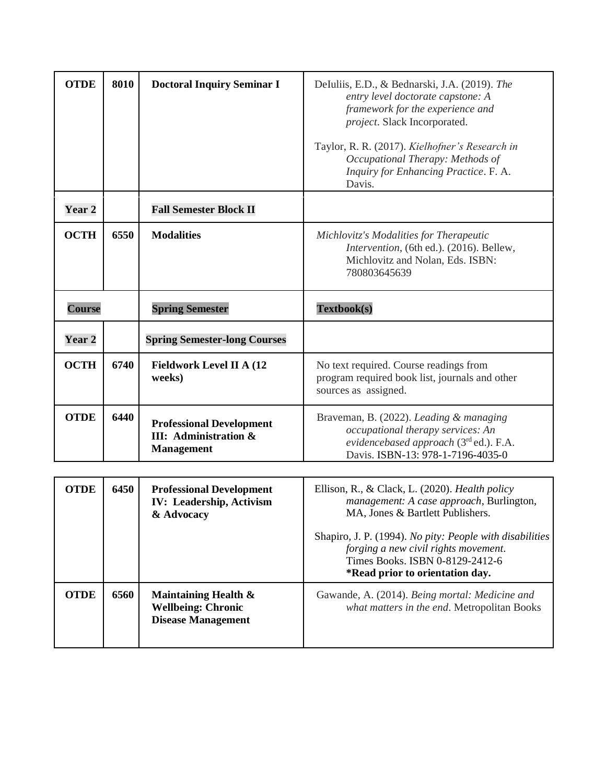| <b>OTDE</b>   | 8010 | <b>Doctoral Inquiry Seminar I</b>                                                         | DeIuliis, E.D., & Bednarski, J.A. (2019). The<br>entry level doctorate capstone: A<br>framework for the experience and<br>project. Slack Incorporated.                 |
|---------------|------|-------------------------------------------------------------------------------------------|------------------------------------------------------------------------------------------------------------------------------------------------------------------------|
|               |      |                                                                                           | Taylor, R. R. (2017). Kielhofner's Research in<br>Occupational Therapy: Methods of<br>Inquiry for Enhancing Practice. F. A.<br>Davis.                                  |
| Year 2        |      | <b>Fall Semester Block II</b>                                                             |                                                                                                                                                                        |
| <b>OCTH</b>   | 6550 | <b>Modalities</b>                                                                         | Michlovitz's Modalities for Therapeutic<br>Intervention, (6th ed.). (2016). Bellew,<br>Michlovitz and Nolan, Eds. ISBN:<br>780803645639                                |
| <b>Course</b> |      | <b>Spring Semester</b>                                                                    | Textbook(s)                                                                                                                                                            |
| Year 2        |      | <b>Spring Semester-long Courses</b>                                                       |                                                                                                                                                                        |
| <b>OCTH</b>   | 6740 | <b>Fieldwork Level II A (12</b><br>weeks)                                                 | No text required. Course readings from<br>program required book list, journals and other<br>sources as assigned.                                                       |
| <b>OTDE</b>   | 6440 | <b>Professional Development</b><br><b>III:</b> Administration &<br><b>Management</b>      | Braveman, B. (2022). Leading & managing<br>occupational therapy services: An<br>evidencebased approach (3rd ed.). F.A.<br>Davis. ISBN-13: 978-1-7196-4035-0            |
|               |      |                                                                                           |                                                                                                                                                                        |
| <b>OTDE</b>   | 6450 | <b>Professional Development</b><br><b>IV: Leadership, Activism</b><br>& Advocacy          | Ellison, R., & Clack, L. (2020). Health policy<br>management: A case approach, Burlington,<br>MA, Jones & Bartlett Publishers.                                         |
|               |      |                                                                                           | Shapiro, J. P. (1994). No pity: People with disabilities<br>forging a new civil rights movement.<br>Times Books. ISBN 0-8129-2412-6<br>*Read prior to orientation day. |
| <b>OTDE</b>   | 6560 | <b>Maintaining Health &amp;</b><br><b>Wellbeing: Chronic</b><br><b>Disease Management</b> | Gawande, A. (2014). Being mortal: Medicine and<br>what matters in the end. Metropolitan Books                                                                          |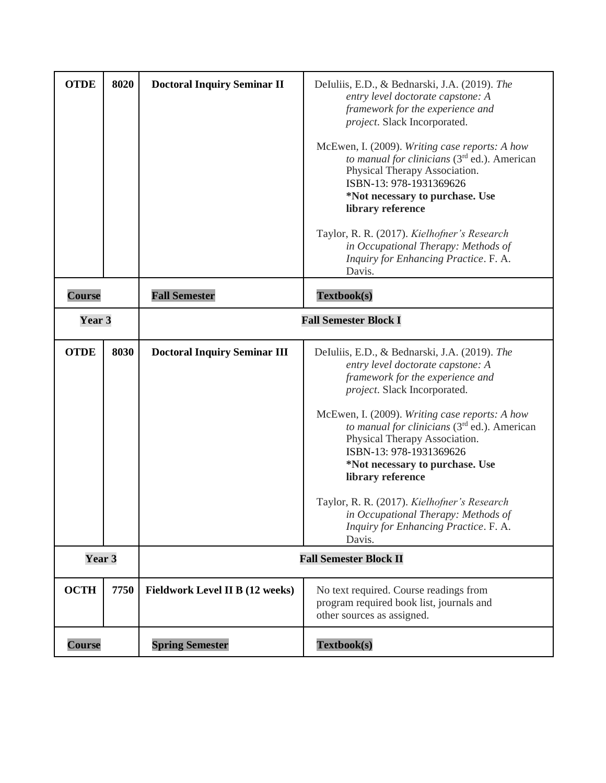| <b>OTDE</b>   | 8020 | <b>Doctoral Inquiry Seminar II</b>  | DeIuliis, E.D., & Bednarski, J.A. (2019). The<br>entry level doctorate capstone: A<br>framework for the experience and<br>project. Slack Incorporated.<br>McEwen, I. (2009). Writing case reports: A how<br>to manual for clinicians $(3rd$ ed.). American<br>Physical Therapy Association.<br>ISBN-13: 978-1931369626<br>*Not necessary to purchase. Use<br>library reference<br>Taylor, R. R. (2017). Kielhofner's Research<br>in Occupational Therapy: Methods of<br>Inquiry for Enhancing Practice. F. A.<br>Davis. |
|---------------|------|-------------------------------------|-------------------------------------------------------------------------------------------------------------------------------------------------------------------------------------------------------------------------------------------------------------------------------------------------------------------------------------------------------------------------------------------------------------------------------------------------------------------------------------------------------------------------|
| <b>Course</b> |      | <b>Fall Semester</b>                | Textbook(s)                                                                                                                                                                                                                                                                                                                                                                                                                                                                                                             |
| Year 3        |      | <b>Fall Semester Block I</b>        |                                                                                                                                                                                                                                                                                                                                                                                                                                                                                                                         |
| <b>OTDE</b>   | 8030 | <b>Doctoral Inquiry Seminar III</b> | DeIuliis, E.D., & Bednarski, J.A. (2019). The<br>entry level doctorate capstone: A<br>framework for the experience and<br>project. Slack Incorporated.<br>McEwen, I. (2009). Writing case reports: A how<br>to manual for clinicians $(3rd$ ed.). American<br>Physical Therapy Association.<br>ISBN-13: 978-1931369626<br>*Not necessary to purchase. Use<br>library reference<br>Taylor, R. R. (2017). Kielhofner's Research<br>in Occupational Therapy: Methods of<br>Inquiry for Enhancing Practice. F. A.<br>Davis. |
| Year 3        |      |                                     | <b>Fall Semester Block II</b>                                                                                                                                                                                                                                                                                                                                                                                                                                                                                           |
| <b>OCTH</b>   | 7750 | Fieldwork Level II B (12 weeks)     | No text required. Course readings from<br>program required book list, journals and<br>other sources as assigned.                                                                                                                                                                                                                                                                                                                                                                                                        |
| <b>Course</b> |      | <b>Spring Semester</b>              | Textbook(s)                                                                                                                                                                                                                                                                                                                                                                                                                                                                                                             |